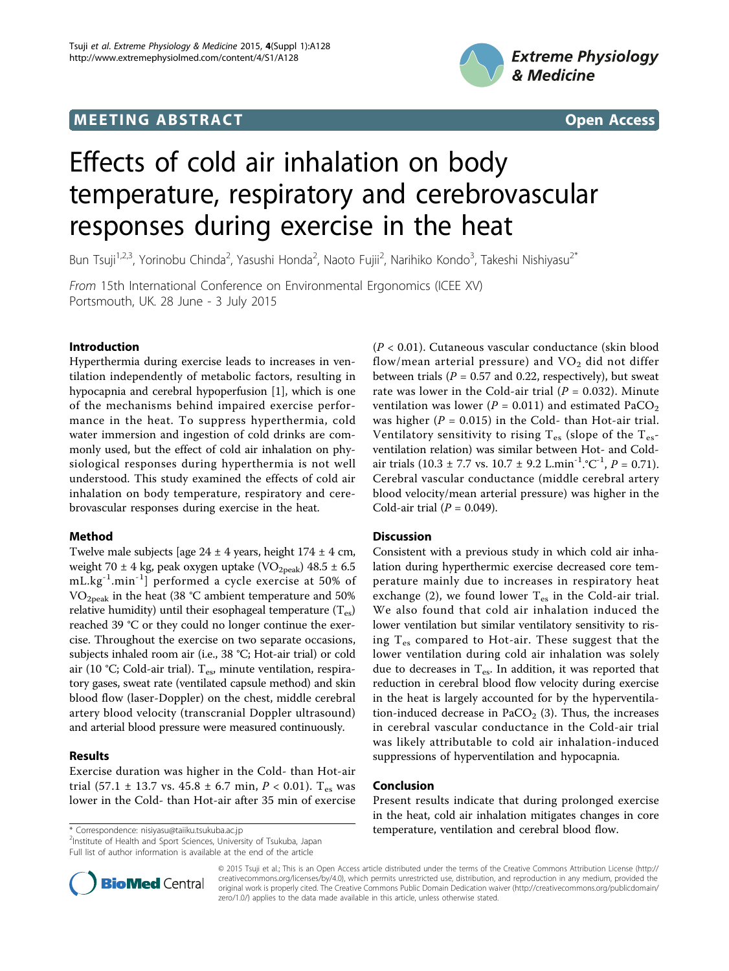# **MEETING ABSTRACT And CONSTRACT CONSTRACT** And CONSTRACT CONSTRACT CONSTRACT CONSTRACT CONSTRACT CONSTRACT CONSTR





# Effects of cold air inhalation on body temperature, respiratory and cerebrovascular responses during exercise in the heat

Bun Tsuji<sup>1,2,3</sup>, Yorinobu Chinda<sup>2</sup>, Yasushi Honda<sup>2</sup>, Naoto Fujii<sup>2</sup>, Narihiko Kondo<sup>3</sup>, Takeshi Nishiyasu<sup>2\*</sup>

From 15th International Conference on Environmental Ergonomics (ICEE XV) Portsmouth, UK. 28 June - 3 July 2015

## Introduction

Hyperthermia during exercise leads to increases in ventilation independently of metabolic factors, resulting in hypocapnia and cerebral hypoperfusion [[1\]](#page-1-0), which is one of the mechanisms behind impaired exercise performance in the heat. To suppress hyperthermia, cold water immersion and ingestion of cold drinks are commonly used, but the effect of cold air inhalation on physiological responses during hyperthermia is not well understood. This study examined the effects of cold air inhalation on body temperature, respiratory and cerebrovascular responses during exercise in the heat.

## Method

Twelve male subjects [age  $24 \pm 4$  years, height  $174 \pm 4$  cm, weight 70  $\pm$  4 kg, peak oxygen uptake (VO<sub>2peak</sub>) 48.5  $\pm$  6.5 mL.kg-1.min-1] performed a cycle exercise at 50% of  $VO<sub>2peak</sub>$  in the heat (38 °C ambient temperature and 50% relative humidity) until their esophageal temperature  $(T_{es})$ reached 39 °C or they could no longer continue the exercise. Throughout the exercise on two separate occasions, subjects inhaled room air (i.e., 38 °C; Hot-air trial) or cold air (10 °C; Cold-air trial).  $T_{es}$ , minute ventilation, respiratory gases, sweat rate (ventilated capsule method) and skin blood flow (laser-Doppler) on the chest, middle cerebral artery blood velocity (transcranial Doppler ultrasound) and arterial blood pressure were measured continuously.

# Results

Exercise duration was higher in the Cold- than Hot-air trial (57.1 ± 13.7 vs. 45.8 ± 6.7 min,  $P < 0.01$ ). T<sub>es</sub> was lower in the Cold- than Hot-air after 35 min of exercise

<sup>2</sup>Institute of Health and Sport Sciences, University of Tsukuba, Japan Full list of author information is available at the end of the article



## **Discussion**

Consistent with a previous study in which cold air inhalation during hyperthermic exercise decreased core temperature mainly due to increases in respiratory heat exchange (2), we found lower  $T_{es}$  in the Cold-air trial. We also found that cold air inhalation induced the lower ventilation but similar ventilatory sensitivity to rising  $T_{es}$  compared to Hot-air. These suggest that the lower ventilation during cold air inhalation was solely due to decreases in  $T_{es}$ . In addition, it was reported that reduction in cerebral blood flow velocity during exercise in the heat is largely accounted for by the hyperventilation-induced decrease in  $PaCO<sub>2</sub>$  (3). Thus, the increases in cerebral vascular conductance in the Cold-air trial was likely attributable to cold air inhalation-induced suppressions of hyperventilation and hypocapnia.

## Conclusion

Present results indicate that during prolonged exercise in the heat, cold air inhalation mitigates changes in core \* Correspondence: [nisiyasu@taiiku.tsukuba.ac.jp](mailto:nisiyasu@taiiku.tsukuba.ac.jp) **temperature, ventilation and cerebral blood flow.** 



© 2015 Tsuji et al.; This is an Open Access article distributed under the terms of the Creative Commons Attribution License [\(http://](http://creativecommons.org/licenses/by/4.0) [creativecommons.org/licenses/by/4.0](http://creativecommons.org/licenses/by/4.0)), which permits unrestricted use, distribution, and reproduction in any medium, provided the original work is properly cited. The Creative Commons Public Domain Dedication waiver ([http://creativecommons.org/publicdomain/](http://creativecommons.org/publicdomain/zero/1.0/) [zero/1.0/](http://creativecommons.org/publicdomain/zero/1.0/)) applies to the data made available in this article, unless otherwise stated.